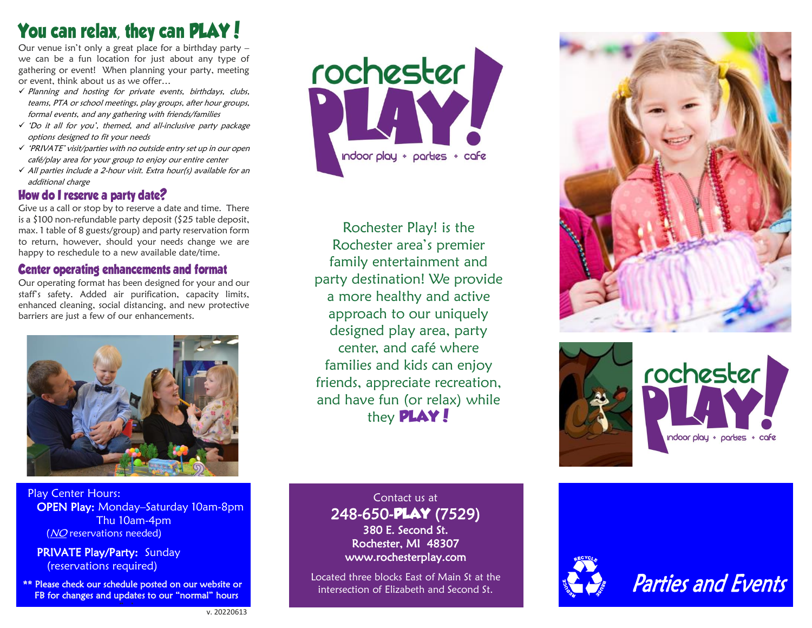**Your venue isn't only a great place for a birthday party –** we can be a fun location for just about any type of gathering or event! When planning your party, meeting or event, think about us as we offer…

- ✓ Planning and hosting for private events, birthdays, clubs, teams, PTA or school meetings, play groups, after hour groups, formal events, and any gathering with friends/families
- ✓ 'Do it all for you', themed, and all-inclusive party package options designed to fit your needs
- ✓ 'PRIVATE' visit/parties with no outside entry set up in our open café/play area for your group to enjoy our entire center
- ✓ All parties include a 2-hour visit. Extra hour(s) available for an additional charge

## How do I reserve a party date?

Give us a call or stop by to reserve a date and time. There is a \$100 non -refundable party deposit (\$25 table deposit, max. 1 table o f 8 guests/group) and party reservation form to return, however, should your needs change we are happy to reschedule to a new available date/time.

**Center operating enhancements and format** Our operating format has been designed for your and our staff's safety. Added air purification, capacity limits, enhanced cleaning, social distancing, and new protective barriers are just a few of our enhancements.



Play Center Hours: OPEN Play: Monday-Saturday 10am-8pm Thu 10am - 4pm (NO reservations needed)

PRIVATE Play/Party: Sunday **(reservations required)** 

\*\* Please check our schedule posted on our website or FB for changes and updates to our "normal" hours  $\mathbf{p}$  (below)



Rochester Play! is the Rochester area's premier family entertainment and party destination! We provide a more healthy and active approach to our uniquely designed play area, party center, and café where families and kids can enjoy friends, appreciate recreation, and have fun (or relax) while they **PLAY!**



Located three blocks East of Main St at the







Dcated three blocks East of Main St at the **Real Property of the Conduct of Conducts**